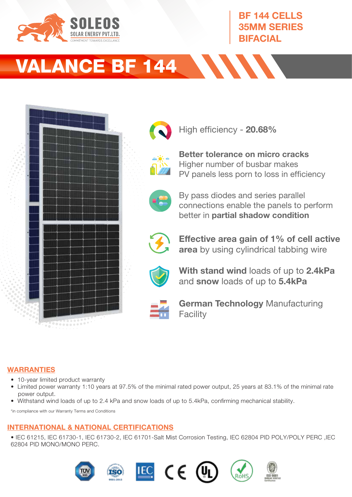

## BF 144 CELLS 35MM SERIES BIFACIAL

# VALANCE BF 144





High efficiency - 20.68%



Better tolerance on micro cracks Higher number of busbar makes PV panels less porn to loss in efficiency



By pass diodes and series parallel connections enable the panels to perform better in partial shadow condition



Effective area gain of 1% of cell active area by using cylindrical tabbing wire



With stand wind loads of up to 2.4kPa and snow loads of up to 5.4kPa



German Technology Manufacturing **Facility** 

## WARRANTIES

- 10-year limited product warranty
- Limited power warranty 1:10 years at 97.5% of the minimal rated power output, 25 years at 83.1% of the minimal rate power output.
- Withstand wind loads of up to 2.4 kPa and snow loads of up to 5.4kPa, confirming mechanical stability.

\*in compliance with our Warranty Terms and Conditions

## INTERNATIONAL & NATIONAL CERTIFICATIONS

• IEC 61215, IEC 61730-1, IEC 61730-2, IEC 61701-Salt Mist Corrosion Testing, IEC 62804 PID POLY/POLY PERC ,IEC 62804 PID MONO/MONO PERC.